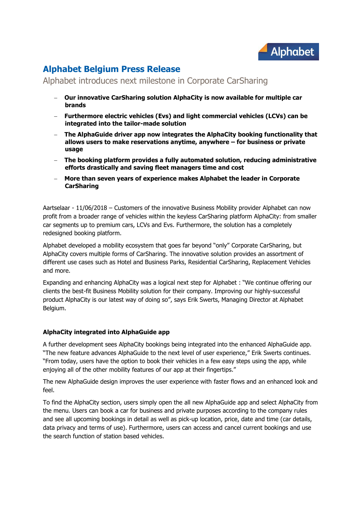

# **Alphabet Belgium Press Release**

## Alphabet introduces next milestone in Corporate CarSharing

- **Our innovative CarSharing solution AlphaCity is now available for multiple car brands**
- **Furthermore electric vehicles (Evs) and light commercial vehicles (LCVs) can be integrated into the tailor-made solution**
- **The AlphaGuide driver app now integrates the AlphaCity booking functionality that allows users to make reservations anytime, anywhere – for business or private usage**
- **The booking platform provides a fully automated solution, reducing administrative efforts drastically and saving fleet managers time and cost**
- **More than seven years of experience makes Alphabet the leader in Corporate CarSharing**

Aartselaar - 11/06/2018 – Customers of the innovative Business Mobility provider Alphabet can now profit from a broader range of vehicles within the keyless CarSharing platform AlphaCity: from smaller car segments up to premium cars, LCVs and Evs. Furthermore, the solution has a completely redesigned booking platform.

Alphabet developed a mobility ecosystem that goes far beyond "only" Corporate CarSharing, but AlphaCity covers multiple forms of CarSharing. The innovative solution provides an assortment of different use cases such as Hotel and Business Parks, Residential CarSharing, Replacement Vehicles and more.

Expanding and enhancing AlphaCity was a logical next step for Alphabet : "We continue offering our clients the best-fit Business Mobility solution for their company. Improving our highly-successful product AlphaCity is our latest way of doing so", says Erik Swerts, Managing Director at Alphabet Belgium.

### **AlphaCity integrated into AlphaGuide app**

A further development sees AlphaCity bookings being integrated into the enhanced AlphaGuide app. "The new feature advances AlphaGuide to the next level of user experience," Erik Swerts continues. "From today, users have the option to book their vehicles in a few easy steps using the app, while enjoying all of the other mobility features of our app at their fingertips."

The new AlphaGuide design improves the user experience with faster flows and an enhanced look and feel.

To find the AlphaCity section, users simply open the all new AlphaGuide app and select AlphaCity from the menu. Users can book a car for business and private purposes according to the company rules and see all upcoming bookings in detail as well as pick-up location, price, date and time (car details, data privacy and terms of use). Furthermore, users can access and cancel current bookings and use the search function of station based vehicles.